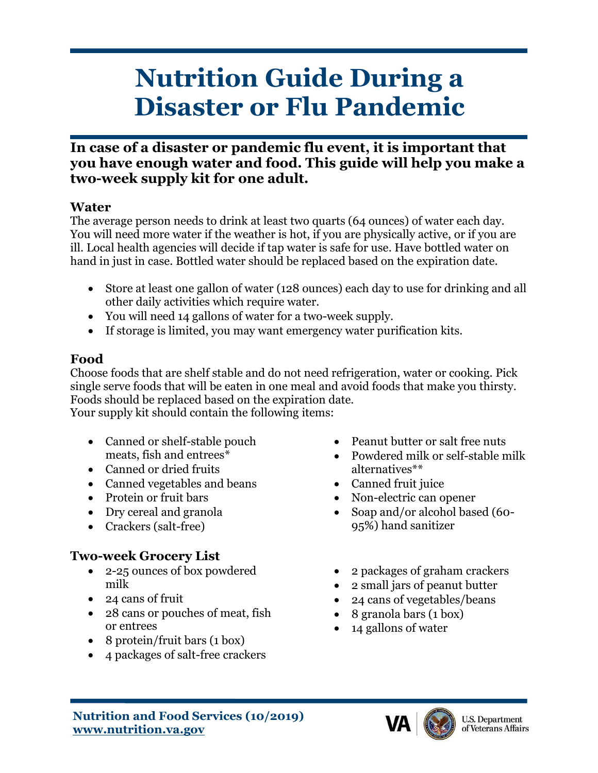# **Nutrition Guide During a Disaster or Flu Pandemic**

## **In case of a disaster or pandemic flu event, it is important that you have enough water and food. This guide will help you make a two-week supply kit for one adult.**

#### **Water**

The average person needs to drink at least two quarts (64 ounces) of water each day. You will need more water if the weather is hot, if you are physically active, or if you are ill. Local health agencies will decide if tap water is safe for use. Have bottled water on hand in just in case. Bottled water should be replaced based on the expiration date.

- Store at least one gallon of water (128 ounces) each day to use for drinking and all other daily activities which require water.
- You will need 14 gallons of water for a two-week supply.
- If storage is limited, you may want emergency water purification kits.

## **Food**

Choose foods that are shelf stable and do not need refrigeration, water or cooking. Pick single serve foods that will be eaten in one meal and avoid foods that make you thirsty. Foods should be replaced based on the expiration date. Your supply kit should contain the following items:

- Canned or shelf-stable pouch meats, fish and entrees\*
- Canned or dried fruits
- Canned vegetables and beans
- Protein or fruit bars
- Dry cereal and granola
- Crackers (salt-free)

## **Two-week Grocery List**

- 2-25 ounces of box powdered milk
- 24 cans of fruit
- 28 cans or pouches of meat, fish or entrees
- 8 protein/fruit bars (1 box)
- 4 packages of salt-free crackers
- Peanut butter or salt free nuts
- Powdered milk or self-stable milk alternatives\*\*
- Canned fruit juice
- Non-electric can opener
- Soap and/or alcohol based (60-95%) hand sanitizer
- 2 packages of graham crackers
- 2 small jars of peanut butter
- 24 cans of vegetables/beans
- 8 granola bars (1 box)
- 14 gallons of water



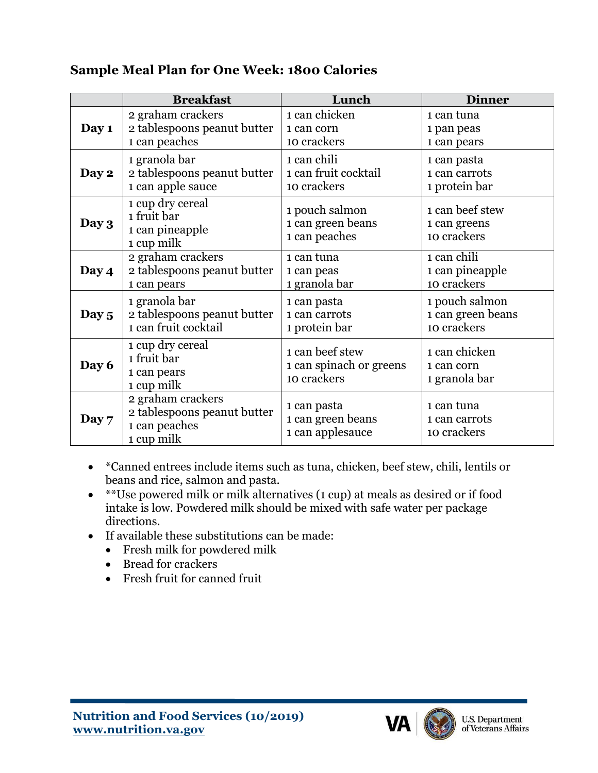#### **Sample Meal Plan for One Week: 1800 Calories**

|         | <b>Breakfast</b>                                                                | Lunch                                                     | <b>Dinner</b>                                  |
|---------|---------------------------------------------------------------------------------|-----------------------------------------------------------|------------------------------------------------|
| Day 1   | 2 graham crackers                                                               | 1 can chicken                                             | 1 can tuna                                     |
|         | 2 tablespoons peanut butter                                                     | 1 can corn                                                | 1 pan peas                                     |
|         | 1 can peaches                                                                   | 10 crackers                                               | 1 can pears                                    |
| Day 2   | 1 granola bar                                                                   | 1 can chili                                               | 1 can pasta                                    |
|         | 2 tablespoons peanut butter                                                     | 1 can fruit cocktail                                      | 1 can carrots                                  |
|         | 1 can apple sauce                                                               | 10 crackers                                               | 1 protein bar                                  |
| Day 3   | 1 cup dry cereal<br>1 fruit bar<br>1 can pineapple<br>1 cup milk                | 1 pouch salmon<br>1 can green beans<br>1 can peaches      | 1 can beef stew<br>1 can greens<br>10 crackers |
| Day 4   | 2 graham crackers                                                               | 1 can tuna                                                | 1 can chili                                    |
|         | 2 tablespoons peanut butter                                                     | 1 can peas                                                | 1 can pineapple                                |
|         | 1 can pears                                                                     | 1 granola bar                                             | 10 crackers                                    |
| Day 5   | 1 granola bar                                                                   | 1 can pasta                                               | 1 pouch salmon                                 |
|         | 2 tablespoons peanut butter                                                     | 1 can carrots                                             | 1 can green beans                              |
|         | 1 can fruit cocktail                                                            | 1 protein bar                                             | 10 crackers                                    |
| Day 6   | 1 cup dry cereal<br>1 fruit bar<br>1 can pears<br>1 cup milk                    | 1 can beef stew<br>1 can spinach or greens<br>10 crackers | 1 can chicken<br>1 can corn<br>1 granola bar   |
| Day $7$ | 2 graham crackers<br>2 tablespoons peanut butter<br>1 can peaches<br>1 cup milk | 1 can pasta<br>1 can green beans<br>1 can applesauce      | 1 can tuna<br>1 can carrots<br>10 crackers     |

- \*Canned entrees include items such as tuna, chicken, beef stew, chili, lentils or beans and rice, salmon and pasta.
- \*\*Use powered milk or milk alternatives (1 cup) at meals as desired or if food intake is low. Powdered milk should be mixed with safe water per package directions.
- If available these substitutions can be made:
	- Fresh milk for powdered milk
	- Bread for crackers
	- Fresh fruit for canned fruit